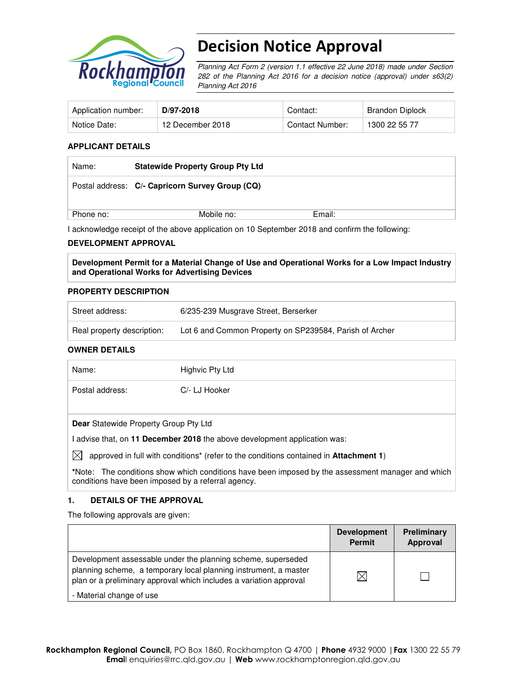

# Decision Notice Approval

Planning Act Form 2 (version 1.1 effective 22 June 2018) made under Section 282 of the Planning Act 2016 for a decision notice (approval) under s63(2) Planning Act 2016

| Application number: | D/97-2018        | Contact:        | Brandon Diplock |
|---------------------|------------------|-----------------|-----------------|
| Notice Date:        | 12 December 2018 | Contact Number: | 1300 22 55 77   |

#### **APPLICANT DETAILS**

| Name:     | <b>Statewide Property Group Pty Ltd</b>         |        |  |
|-----------|-------------------------------------------------|--------|--|
|           | Postal address: C/- Capricorn Survey Group (CQ) |        |  |
| Phone no: | Mobile no:                                      | Email: |  |

I acknowledge receipt of the above application on 10 September 2018 and confirm the following:

#### **DEVELOPMENT APPROVAL**

**Development Permit for a Material Change of Use and Operational Works for a Low Impact Industry and Operational Works for Advertising Devices** 

#### **PROPERTY DESCRIPTION**

| Street address:            | 6/235-239 Musgrave Street, Berserker                    |
|----------------------------|---------------------------------------------------------|
| Real property description: | Lot 6 and Common Property on SP239584, Parish of Archer |

#### **OWNER DETAILS**

| Name:                                        | Highvic Pty Ltd                                                                       |
|----------------------------------------------|---------------------------------------------------------------------------------------|
| Postal address:                              | C/- LJ Hooker                                                                         |
|                                              |                                                                                       |
| <b>Dear</b> Statewide Property Group Pty Ltd |                                                                                       |
|                                              | advise that, on 11 December 2018 the above development application was:               |
|                                              | approved in full with conditions* (refer to the conditions contained in Attachment 1) |

**\***Note:The conditions show which conditions have been imposed by the assessment manager and which conditions have been imposed by a referral agency.

## **1. DETAILS OF THE APPROVAL**

The following approvals are given:

|                                                                                                                                                                                                        | <b>Development</b><br>Permit | Preliminary<br><b>Approval</b> |
|--------------------------------------------------------------------------------------------------------------------------------------------------------------------------------------------------------|------------------------------|--------------------------------|
| Development assessable under the planning scheme, superseded<br>planning scheme, a temporary local planning instrument, a master<br>plan or a preliminary approval which includes a variation approval | IX                           |                                |
| - Material change of use                                                                                                                                                                               |                              |                                |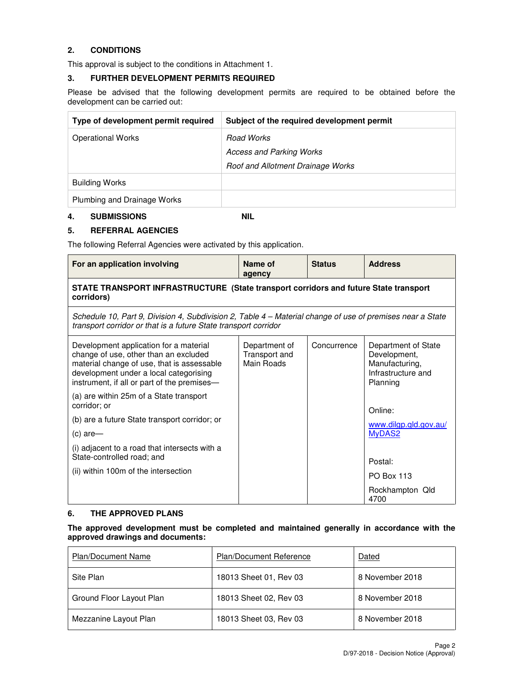## **2. CONDITIONS**

This approval is subject to the conditions in Attachment 1.

#### **3. FURTHER DEVELOPMENT PERMITS REQUIRED**

Please be advised that the following development permits are required to be obtained before the development can be carried out:

| Type of development permit required | Subject of the required development permit |
|-------------------------------------|--------------------------------------------|
| <b>Operational Works</b>            | Road Works                                 |
|                                     | <b>Access and Parking Works</b>            |
|                                     | Roof and Allotment Drainage Works          |
| <b>Building Works</b>               |                                            |
| Plumbing and Drainage Works         |                                            |

#### **4. SUBMISSIONS NIL**

#### **5. REFERRAL AGENCIES**

The following Referral Agencies were activated by this application.

| For an application involving                                                                                                                                                                                           | Name of<br>agency                            | <b>Status</b> | <b>Address</b>                                                                          |  |  |
|------------------------------------------------------------------------------------------------------------------------------------------------------------------------------------------------------------------------|----------------------------------------------|---------------|-----------------------------------------------------------------------------------------|--|--|
| STATE TRANSPORT INFRASTRUCTURE (State transport corridors and future State transport<br>corridors)                                                                                                                     |                                              |               |                                                                                         |  |  |
| Schedule 10, Part 9, Division 4, Subdivision 2, Table 4 – Material change of use of premises near a State<br>transport corridor or that is a future State transport corridor                                           |                                              |               |                                                                                         |  |  |
| Development application for a material<br>change of use, other than an excluded<br>material change of use, that is assessable<br>development under a local categorising<br>instrument, if all or part of the premises- | Department of<br>Transport and<br>Main Roads | Concurrence   | Department of State<br>Development,<br>Manufacturing,<br>Infrastructure and<br>Planning |  |  |
| (a) are within 25m of a State transport<br>corridor; or                                                                                                                                                                |                                              |               | Online:                                                                                 |  |  |
| (b) are a future State transport corridor; or                                                                                                                                                                          |                                              |               | www.dilgp.qld.gov.au/                                                                   |  |  |
| (c) are-                                                                                                                                                                                                               |                                              |               | MyDAS2                                                                                  |  |  |
| (i) adjacent to a road that intersects with a<br>State-controlled road; and                                                                                                                                            |                                              |               |                                                                                         |  |  |
| (ii) within 100m of the intersection                                                                                                                                                                                   |                                              |               | Postal:                                                                                 |  |  |
|                                                                                                                                                                                                                        |                                              |               | <b>PO Box 113</b>                                                                       |  |  |
|                                                                                                                                                                                                                        |                                              |               | Rockhampton Qld<br>4700                                                                 |  |  |

#### **6. THE APPROVED PLANS**

### **The approved development must be completed and maintained generally in accordance with the approved drawings and documents:**

| <b>Plan/Document Name</b> | <b>Plan/Document Reference</b> | Dated           |
|---------------------------|--------------------------------|-----------------|
| Site Plan                 | 18013 Sheet 01, Rev 03         | 8 November 2018 |
| Ground Floor Layout Plan  | 18013 Sheet 02, Rev 03         | 8 November 2018 |
| Mezzanine Layout Plan     | 18013 Sheet 03, Rev 03         | 8 November 2018 |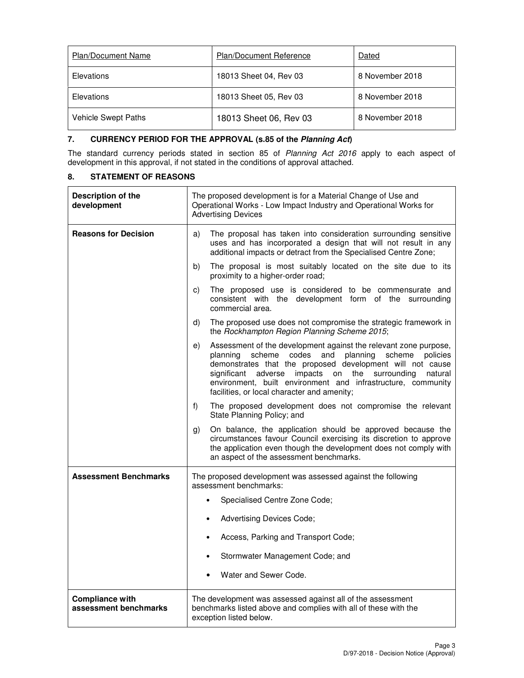| <b>Plan/Document Name</b> | <b>Plan/Document Reference</b> | Dated           |
|---------------------------|--------------------------------|-----------------|
| Elevations                | 18013 Sheet 04, Rev 03         | 8 November 2018 |
| Elevations                | 18013 Sheet 05, Rev 03         | 8 November 2018 |
| Vehicle Swept Paths       | 18013 Sheet 06, Rev 03         | 8 November 2018 |

## **7. CURRENCY PERIOD FOR THE APPROVAL (s.85 of the Planning Act)**

The standard currency periods stated in section 85 of Planning Act 2016 apply to each aspect of development in this approval, if not stated in the conditions of approval attached.

#### **8. STATEMENT OF REASONS**

| Description of the<br>development               | The proposed development is for a Material Change of Use and<br>Operational Works - Low Impact Industry and Operational Works for<br><b>Advertising Devices</b>                                                                                                                                                                                                                      |  |
|-------------------------------------------------|--------------------------------------------------------------------------------------------------------------------------------------------------------------------------------------------------------------------------------------------------------------------------------------------------------------------------------------------------------------------------------------|--|
| <b>Reasons for Decision</b>                     | The proposal has taken into consideration surrounding sensitive<br>a)<br>uses and has incorporated a design that will not result in any<br>additional impacts or detract from the Specialised Centre Zone;                                                                                                                                                                           |  |
|                                                 | The proposal is most suitably located on the site due to its<br>b)<br>proximity to a higher-order road;                                                                                                                                                                                                                                                                              |  |
|                                                 | The proposed use is considered to be commensurate and<br>C)<br>consistent with the development form of the surrounding<br>commercial area.                                                                                                                                                                                                                                           |  |
|                                                 | The proposed use does not compromise the strategic framework in<br>d)<br>the Rockhampton Region Planning Scheme 2015;                                                                                                                                                                                                                                                                |  |
|                                                 | Assessment of the development against the relevant zone purpose,<br>e)<br>scheme<br>codes and planning<br>scheme<br>policies<br>planning<br>demonstrates that the proposed development will not cause<br>adverse impacts on the surrounding<br>natural<br>significant<br>environment, built environment and infrastructure, community<br>facilities, or local character and amenity; |  |
|                                                 | The proposed development does not compromise the relevant<br>f)<br>State Planning Policy; and                                                                                                                                                                                                                                                                                        |  |
|                                                 | On balance, the application should be approved because the<br>g)<br>circumstances favour Council exercising its discretion to approve<br>the application even though the development does not comply with<br>an aspect of the assessment benchmarks.                                                                                                                                 |  |
| <b>Assessment Benchmarks</b>                    | The proposed development was assessed against the following<br>assessment benchmarks:                                                                                                                                                                                                                                                                                                |  |
|                                                 | Specialised Centre Zone Code;                                                                                                                                                                                                                                                                                                                                                        |  |
|                                                 | Advertising Devices Code;<br>$\bullet$                                                                                                                                                                                                                                                                                                                                               |  |
|                                                 | Access, Parking and Transport Code;<br>$\bullet$                                                                                                                                                                                                                                                                                                                                     |  |
|                                                 | Stormwater Management Code; and<br>$\bullet$                                                                                                                                                                                                                                                                                                                                         |  |
|                                                 | Water and Sewer Code.                                                                                                                                                                                                                                                                                                                                                                |  |
| <b>Compliance with</b><br>assessment benchmarks | The development was assessed against all of the assessment<br>benchmarks listed above and complies with all of these with the<br>exception listed below.                                                                                                                                                                                                                             |  |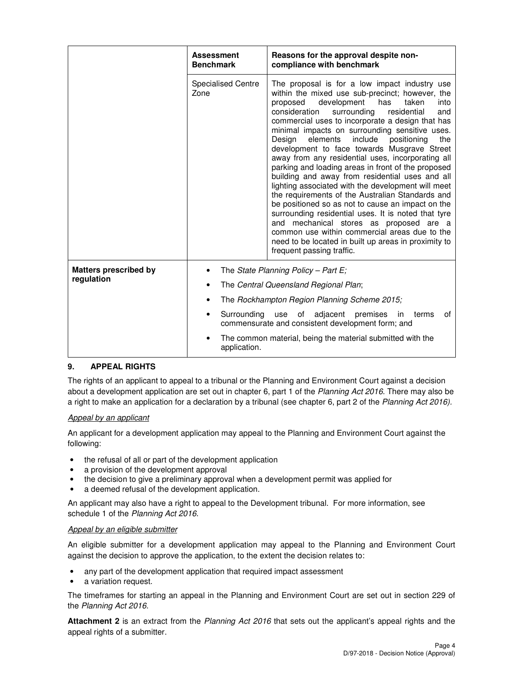|                                            | <b>Assessment</b><br><b>Benchmark</b>                                                                                           | Reasons for the approval despite non-<br>compliance with benchmark                                                                                                                                                                                                                                                                                                                                                                                                                                                                                                                                                                                                                                                                                                                                                                                                                                                                                                                            |  |  |
|--------------------------------------------|---------------------------------------------------------------------------------------------------------------------------------|-----------------------------------------------------------------------------------------------------------------------------------------------------------------------------------------------------------------------------------------------------------------------------------------------------------------------------------------------------------------------------------------------------------------------------------------------------------------------------------------------------------------------------------------------------------------------------------------------------------------------------------------------------------------------------------------------------------------------------------------------------------------------------------------------------------------------------------------------------------------------------------------------------------------------------------------------------------------------------------------------|--|--|
|                                            | <b>Specialised Centre</b><br>Zone                                                                                               | The proposal is for a low impact industry use<br>within the mixed use sub-precinct; however, the<br>development<br>has<br>taken<br>proposed<br>into<br>consideration<br>surrounding<br>residential<br>and<br>commercial uses to incorporate a design that has<br>minimal impacts on surrounding sensitive uses.<br>include<br>Design<br>elements<br>positioning<br>the<br>development to face towards Musgrave Street<br>away from any residential uses, incorporating all<br>parking and loading areas in front of the proposed<br>building and away from residential uses and all<br>lighting associated with the development will meet<br>the requirements of the Australian Standards and<br>be positioned so as not to cause an impact on the<br>surrounding residential uses. It is noted that tyre<br>mechanical stores as proposed are a<br>and<br>common use within commercial areas due to the<br>need to be located in built up areas in proximity to<br>frequent passing traffic. |  |  |
| <b>Matters prescribed by</b><br>regulation |                                                                                                                                 | The State Planning Policy – Part E;                                                                                                                                                                                                                                                                                                                                                                                                                                                                                                                                                                                                                                                                                                                                                                                                                                                                                                                                                           |  |  |
|                                            | The Central Queensland Regional Plan;<br>The Rockhampton Region Planning Scheme 2015;<br>$\bullet$                              |                                                                                                                                                                                                                                                                                                                                                                                                                                                                                                                                                                                                                                                                                                                                                                                                                                                                                                                                                                                               |  |  |
|                                            |                                                                                                                                 |                                                                                                                                                                                                                                                                                                                                                                                                                                                                                                                                                                                                                                                                                                                                                                                                                                                                                                                                                                                               |  |  |
|                                            | Surrounding<br>of<br>adjacent<br>premises<br>of<br>use<br>in<br>terms<br>٠<br>commensurate and consistent development form; and |                                                                                                                                                                                                                                                                                                                                                                                                                                                                                                                                                                                                                                                                                                                                                                                                                                                                                                                                                                                               |  |  |
|                                            | The common material, being the material submitted with the<br>application.                                                      |                                                                                                                                                                                                                                                                                                                                                                                                                                                                                                                                                                                                                                                                                                                                                                                                                                                                                                                                                                                               |  |  |

## **9. APPEAL RIGHTS**

The rights of an applicant to appeal to a tribunal or the Planning and Environment Court against a decision about a development application are set out in chapter 6, part 1 of the Planning Act 2016. There may also be a right to make an application for a declaration by a tribunal (see chapter 6, part 2 of the Planning Act 2016).

#### Appeal by an applicant

An applicant for a development application may appeal to the Planning and Environment Court against the following:

- the refusal of all or part of the development application
- a provision of the development approval
- the decision to give a preliminary approval when a development permit was applied for
- a deemed refusal of the development application.

An applicant may also have a right to appeal to the Development tribunal. For more information, see schedule 1 of the Planning Act 2016.

#### Appeal by an eligible submitter

An eligible submitter for a development application may appeal to the Planning and Environment Court against the decision to approve the application, to the extent the decision relates to:

- any part of the development application that required impact assessment
- a variation request.

The timeframes for starting an appeal in the Planning and Environment Court are set out in section 229 of the Planning Act 2016.

**Attachment 2** is an extract from the Planning Act 2016 that sets out the applicant's appeal rights and the appeal rights of a submitter.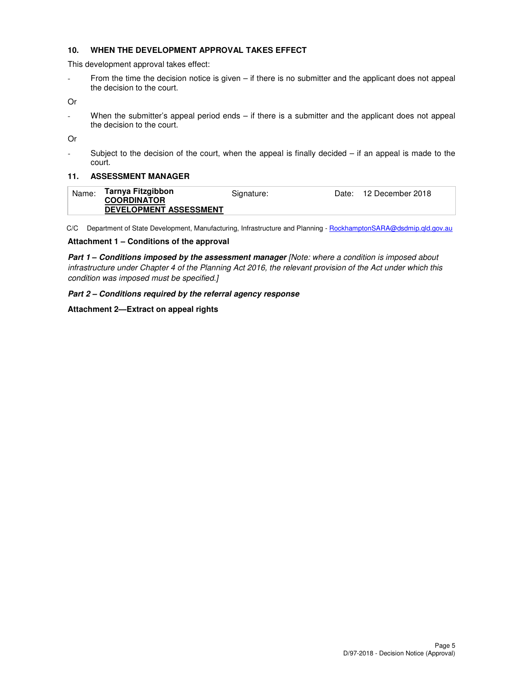#### **10. WHEN THE DEVELOPMENT APPROVAL TAKES EFFECT**

This development approval takes effect:

- From the time the decision notice is given – if there is no submitter and the applicant does not appeal the decision to the court.

Or

- When the submitter's appeal period ends – if there is a submitter and the applicant does not appeal the decision to the court.

Or

- Subject to the decision of the court, when the appeal is finally decided – if an appeal is made to the court.

#### **11. ASSESSMENT MANAGER**

| Name: | Tarnya Fitzgibbon<br><b>COORDINATOR</b> | Signature: | Date: 12 December 2018 |
|-------|-----------------------------------------|------------|------------------------|
|       | <b>DEVELOPMENT ASSESSMENT</b>           |            |                        |

C/C Department of State Development, Manufacturing, Infrastructure and Planning - RockhamptonSARA@dsdmip.qld.gov.au

#### **Attachment 1 – Conditions of the approval**

**Part 1 – Conditions imposed by the assessment manager** [Note: where a condition is imposed about infrastructure under Chapter 4 of the Planning Act 2016, the relevant provision of the Act under which this condition was imposed must be specified.]

#### **Part 2 – Conditions required by the referral agency response**

#### **Attachment 2—Extract on appeal rights**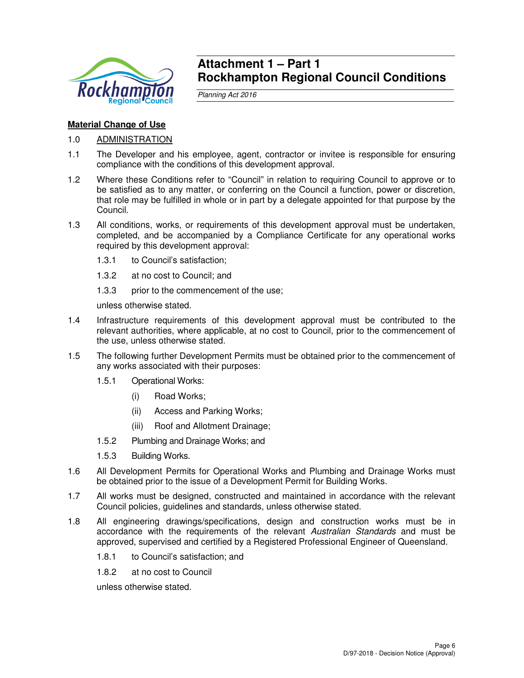

## **Attachment 1 – Part 1 Rockhampton Regional Council Conditions**

Planning Act 2016

## **Material Change of Use**

- 1.0 ADMINISTRATION
- 1.1 The Developer and his employee, agent, contractor or invitee is responsible for ensuring compliance with the conditions of this development approval.
- 1.2 Where these Conditions refer to "Council" in relation to requiring Council to approve or to be satisfied as to any matter, or conferring on the Council a function, power or discretion, that role may be fulfilled in whole or in part by a delegate appointed for that purpose by the Council.
- 1.3 All conditions, works, or requirements of this development approval must be undertaken, completed, and be accompanied by a Compliance Certificate for any operational works required by this development approval:
	- 1.3.1 to Council's satisfaction;
	- 1.3.2 at no cost to Council; and
	- 1.3.3 prior to the commencement of the use;

unless otherwise stated.

- 1.4 Infrastructure requirements of this development approval must be contributed to the relevant authorities, where applicable, at no cost to Council, prior to the commencement of the use, unless otherwise stated.
- 1.5 The following further Development Permits must be obtained prior to the commencement of any works associated with their purposes:
	- 1.5.1 Operational Works:
		- (i) Road Works;
		- (ii) Access and Parking Works;
		- (iii) Roof and Allotment Drainage;
	- 1.5.2 Plumbing and Drainage Works; and
	- 1.5.3 Building Works.
- 1.6 All Development Permits for Operational Works and Plumbing and Drainage Works must be obtained prior to the issue of a Development Permit for Building Works.
- 1.7 All works must be designed, constructed and maintained in accordance with the relevant Council policies, guidelines and standards, unless otherwise stated.
- 1.8 All engineering drawings/specifications, design and construction works must be in accordance with the requirements of the relevant Australian Standards and must be approved, supervised and certified by a Registered Professional Engineer of Queensland.
	- 1.8.1 to Council's satisfaction; and
	- 1.8.2 at no cost to Council

unless otherwise stated.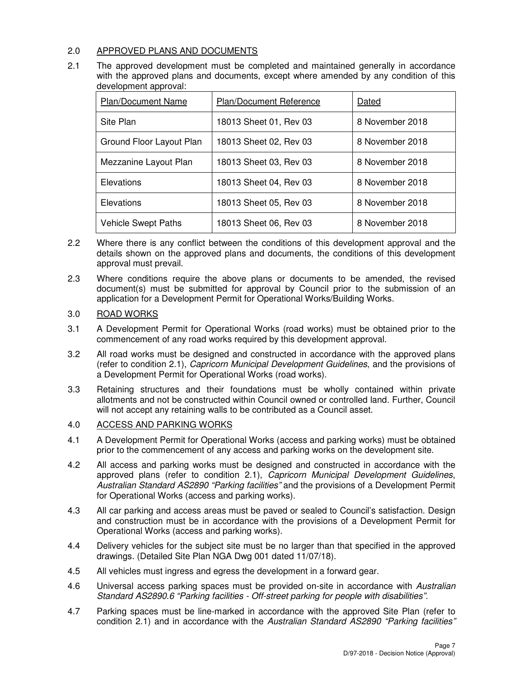## 2.0 APPROVED PLANS AND DOCUMENTS

2.1 The approved development must be completed and maintained generally in accordance with the approved plans and documents, except where amended by any condition of this development approval:

| <b>Plan/Document Name</b>  | <b>Plan/Document Reference</b> | Dated           |
|----------------------------|--------------------------------|-----------------|
| Site Plan                  | 18013 Sheet 01, Rev 03         | 8 November 2018 |
| Ground Floor Layout Plan   | 18013 Sheet 02, Rev 03         | 8 November 2018 |
| Mezzanine Layout Plan      | 18013 Sheet 03, Rev 03         | 8 November 2018 |
| Elevations                 | 18013 Sheet 04, Rev 03         | 8 November 2018 |
| Elevations                 | 18013 Sheet 05, Rev 03         | 8 November 2018 |
| <b>Vehicle Swept Paths</b> | 18013 Sheet 06, Rev 03         | 8 November 2018 |

- 2.2 Where there is any conflict between the conditions of this development approval and the details shown on the approved plans and documents, the conditions of this development approval must prevail.
- 2.3 Where conditions require the above plans or documents to be amended, the revised document(s) must be submitted for approval by Council prior to the submission of an application for a Development Permit for Operational Works/Building Works.

## 3.0 ROAD WORKS

- 3.1 A Development Permit for Operational Works (road works) must be obtained prior to the commencement of any road works required by this development approval.
- 3.2 All road works must be designed and constructed in accordance with the approved plans (refer to condition 2.1), Capricorn Municipal Development Guidelines, and the provisions of a Development Permit for Operational Works (road works).
- 3.3 Retaining structures and their foundations must be wholly contained within private allotments and not be constructed within Council owned or controlled land. Further, Council will not accept any retaining walls to be contributed as a Council asset.

## 4.0 ACCESS AND PARKING WORKS

- 4.1 A Development Permit for Operational Works (access and parking works) must be obtained prior to the commencement of any access and parking works on the development site.
- 4.2 All access and parking works must be designed and constructed in accordance with the approved plans (refer to condition 2.1), Capricorn Municipal Development Guidelines, Australian Standard AS2890 "Parking facilities" and the provisions of a Development Permit for Operational Works (access and parking works).
- 4.3 All car parking and access areas must be paved or sealed to Council's satisfaction. Design and construction must be in accordance with the provisions of a Development Permit for Operational Works (access and parking works).
- 4.4 Delivery vehicles for the subject site must be no larger than that specified in the approved drawings. (Detailed Site Plan NGA Dwg 001 dated 11/07/18).
- 4.5 All vehicles must ingress and egress the development in a forward gear.
- 4.6 Universal access parking spaces must be provided on-site in accordance with Australian Standard AS2890.6 "Parking facilities - Off-street parking for people with disabilities".
- 4.7 Parking spaces must be line-marked in accordance with the approved Site Plan (refer to condition 2.1) and in accordance with the Australian Standard AS2890 "Parking facilities"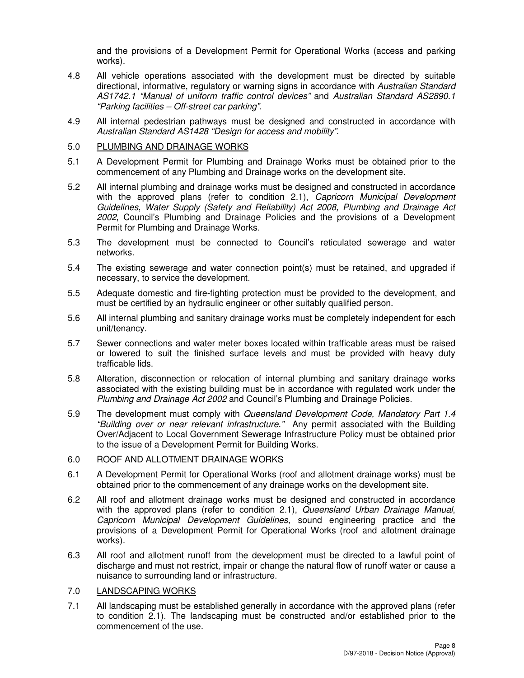and the provisions of a Development Permit for Operational Works (access and parking works).

- 4.8 All vehicle operations associated with the development must be directed by suitable directional, informative, regulatory or warning signs in accordance with Australian Standard AS1742.1 "Manual of uniform traffic control devices" and Australian Standard AS2890.1 "Parking facilities – Off-street car parking".
- 4.9 All internal pedestrian pathways must be designed and constructed in accordance with Australian Standard AS1428 "Design for access and mobility".
- 5.0 PLUMBING AND DRAINAGE WORKS
- 5.1 A Development Permit for Plumbing and Drainage Works must be obtained prior to the commencement of any Plumbing and Drainage works on the development site.
- 5.2 All internal plumbing and drainage works must be designed and constructed in accordance with the approved plans (refer to condition 2.1), Capricorn Municipal Development Guidelines, Water Supply (Safety and Reliability) Act 2008, Plumbing and Drainage Act 2002, Council's Plumbing and Drainage Policies and the provisions of a Development Permit for Plumbing and Drainage Works.
- 5.3 The development must be connected to Council's reticulated sewerage and water networks.
- 5.4 The existing sewerage and water connection point(s) must be retained, and upgraded if necessary, to service the development.
- 5.5 Adequate domestic and fire-fighting protection must be provided to the development, and must be certified by an hydraulic engineer or other suitably qualified person.
- 5.6 All internal plumbing and sanitary drainage works must be completely independent for each unit/tenancy.
- 5.7 Sewer connections and water meter boxes located within trafficable areas must be raised or lowered to suit the finished surface levels and must be provided with heavy duty trafficable lids.
- 5.8 Alteration, disconnection or relocation of internal plumbing and sanitary drainage works associated with the existing building must be in accordance with regulated work under the Plumbing and Drainage Act 2002 and Council's Plumbing and Drainage Policies.
- 5.9 The development must comply with Queensland Development Code, Mandatory Part 1.4 "Building over or near relevant infrastructure." Any permit associated with the Building Over/Adjacent to Local Government Sewerage Infrastructure Policy must be obtained prior to the issue of a Development Permit for Building Works.

## 6.0 ROOF AND ALLOTMENT DRAINAGE WORKS

- 6.1 A Development Permit for Operational Works (roof and allotment drainage works) must be obtained prior to the commencement of any drainage works on the development site.
- 6.2 All roof and allotment drainage works must be designed and constructed in accordance with the approved plans (refer to condition 2.1), Queensland Urban Drainage Manual, Capricorn Municipal Development Guidelines, sound engineering practice and the provisions of a Development Permit for Operational Works (roof and allotment drainage works).
- 6.3 All roof and allotment runoff from the development must be directed to a lawful point of discharge and must not restrict, impair or change the natural flow of runoff water or cause a nuisance to surrounding land or infrastructure.

#### 7.0 LANDSCAPING WORKS

7.1 All landscaping must be established generally in accordance with the approved plans (refer to condition 2.1). The landscaping must be constructed and/or established prior to the commencement of the use.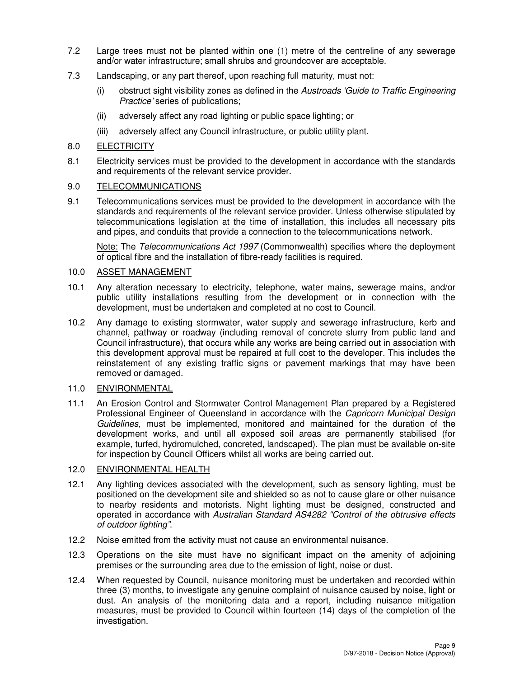- 7.2 Large trees must not be planted within one (1) metre of the centreline of any sewerage and/or water infrastructure; small shrubs and groundcover are acceptable.
- 7.3 Landscaping, or any part thereof, upon reaching full maturity, must not:
	- (i) obstruct sight visibility zones as defined in the Austroads 'Guide to Traffic Engineering Practice' series of publications;
	- (ii) adversely affect any road lighting or public space lighting; or
	- (iii) adversely affect any Council infrastructure, or public utility plant.

## 8.0 ELECTRICITY

8.1 Electricity services must be provided to the development in accordance with the standards and requirements of the relevant service provider.

## 9.0 TELECOMMUNICATIONS

9.1 Telecommunications services must be provided to the development in accordance with the standards and requirements of the relevant service provider. Unless otherwise stipulated by telecommunications legislation at the time of installation, this includes all necessary pits and pipes, and conduits that provide a connection to the telecommunications network.

Note: The Telecommunications Act 1997 (Commonwealth) specifies where the deployment of optical fibre and the installation of fibre-ready facilities is required.

## 10.0 ASSET MANAGEMENT

- 10.1 Any alteration necessary to electricity, telephone, water mains, sewerage mains, and/or public utility installations resulting from the development or in connection with the development, must be undertaken and completed at no cost to Council.
- 10.2 Any damage to existing stormwater, water supply and sewerage infrastructure, kerb and channel, pathway or roadway (including removal of concrete slurry from public land and Council infrastructure), that occurs while any works are being carried out in association with this development approval must be repaired at full cost to the developer. This includes the reinstatement of any existing traffic signs or pavement markings that may have been removed or damaged.

## 11.0 ENVIRONMENTAL

11.1 An Erosion Control and Stormwater Control Management Plan prepared by a Registered Professional Engineer of Queensland in accordance with the Capricorn Municipal Design Guidelines, must be implemented, monitored and maintained for the duration of the development works, and until all exposed soil areas are permanently stabilised (for example, turfed, hydromulched, concreted, landscaped). The plan must be available on-site for inspection by Council Officers whilst all works are being carried out.

## 12.0 ENVIRONMENTAL HEALTH

- 12.1 Any lighting devices associated with the development, such as sensory lighting, must be positioned on the development site and shielded so as not to cause glare or other nuisance to nearby residents and motorists. Night lighting must be designed, constructed and operated in accordance with Australian Standard AS4282 "Control of the obtrusive effects of outdoor lighting".
- 12.2 Noise emitted from the activity must not cause an environmental nuisance.
- 12.3 Operations on the site must have no significant impact on the amenity of adjoining premises or the surrounding area due to the emission of light, noise or dust.
- 12.4 When requested by Council, nuisance monitoring must be undertaken and recorded within three (3) months, to investigate any genuine complaint of nuisance caused by noise, light or dust. An analysis of the monitoring data and a report, including nuisance mitigation measures, must be provided to Council within fourteen (14) days of the completion of the investigation.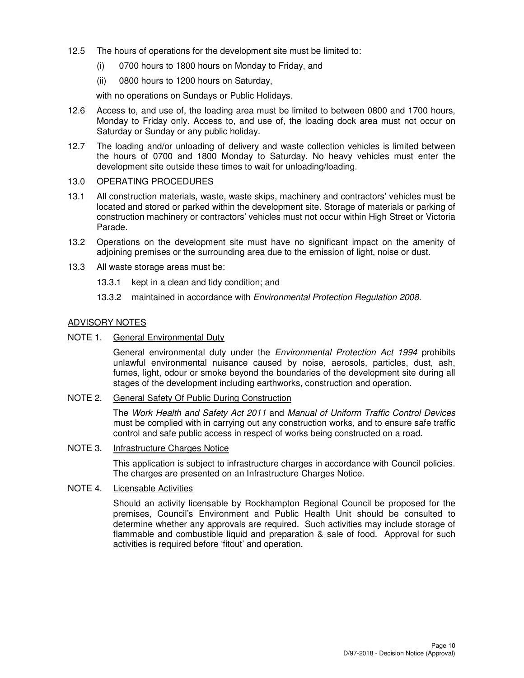- 12.5 The hours of operations for the development site must be limited to:
	- (i) 0700 hours to 1800 hours on Monday to Friday, and
	- (ii) 0800 hours to 1200 hours on Saturday,

with no operations on Sundays or Public Holidays.

- 12.6 Access to, and use of, the loading area must be limited to between 0800 and 1700 hours, Monday to Friday only. Access to, and use of, the loading dock area must not occur on Saturday or Sunday or any public holiday.
- 12.7 The loading and/or unloading of delivery and waste collection vehicles is limited between the hours of 0700 and 1800 Monday to Saturday. No heavy vehicles must enter the development site outside these times to wait for unloading/loading.

#### 13.0 OPERATING PROCEDURES

- 13.1 All construction materials, waste, waste skips, machinery and contractors' vehicles must be located and stored or parked within the development site. Storage of materials or parking of construction machinery or contractors' vehicles must not occur within High Street or Victoria Parade.
- 13.2 Operations on the development site must have no significant impact on the amenity of adjoining premises or the surrounding area due to the emission of light, noise or dust.
- 13.3 All waste storage areas must be:
	- 13.3.1 kept in a clean and tidy condition; and
	- 13.3.2 maintained in accordance with Environmental Protection Regulation 2008.

## ADVISORY NOTES

### NOTE 1. General Environmental Duty

General environmental duty under the *Environmental Protection Act 1994* prohibits unlawful environmental nuisance caused by noise, aerosols, particles, dust, ash, fumes, light, odour or smoke beyond the boundaries of the development site during all stages of the development including earthworks, construction and operation.

#### NOTE 2. General Safety Of Public During Construction

The Work Health and Safety Act 2011 and Manual of Uniform Traffic Control Devices must be complied with in carrying out any construction works, and to ensure safe traffic control and safe public access in respect of works being constructed on a road.

## NOTE 3. Infrastructure Charges Notice

This application is subject to infrastructure charges in accordance with Council policies. The charges are presented on an Infrastructure Charges Notice.

## NOTE 4. Licensable Activities

Should an activity licensable by Rockhampton Regional Council be proposed for the premises, Council's Environment and Public Health Unit should be consulted to determine whether any approvals are required. Such activities may include storage of flammable and combustible liquid and preparation & sale of food. Approval for such activities is required before 'fitout' and operation.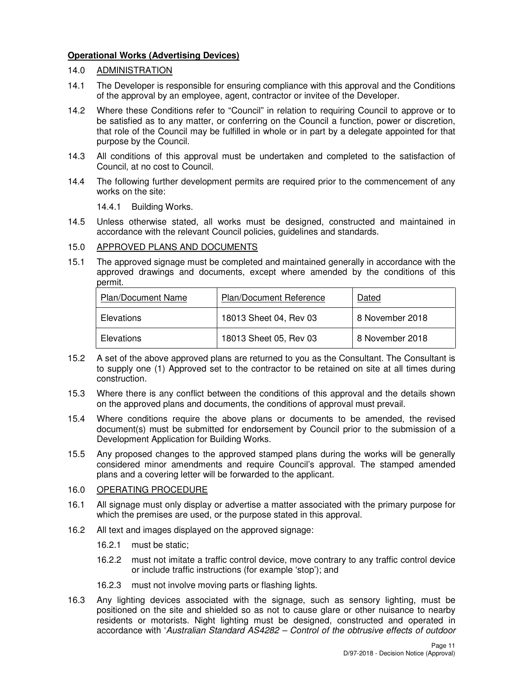## **Operational Works (Advertising Devices)**

## 14.0 ADMINISTRATION

- 14.1 The Developer is responsible for ensuring compliance with this approval and the Conditions of the approval by an employee, agent, contractor or invitee of the Developer.
- 14.2 Where these Conditions refer to "Council" in relation to requiring Council to approve or to be satisfied as to any matter, or conferring on the Council a function, power or discretion, that role of the Council may be fulfilled in whole or in part by a delegate appointed for that purpose by the Council.
- 14.3 All conditions of this approval must be undertaken and completed to the satisfaction of Council, at no cost to Council.
- 14.4 The following further development permits are required prior to the commencement of any works on the site:

14.4.1 Building Works.

14.5 Unless otherwise stated, all works must be designed, constructed and maintained in accordance with the relevant Council policies, guidelines and standards.

## 15.0 APPROVED PLANS AND DOCUMENTS

15.1 The approved signage must be completed and maintained generally in accordance with the approved drawings and documents, except where amended by the conditions of this permit.

| Plan/Document Name | <b>Plan/Document Reference</b> | Dated           |
|--------------------|--------------------------------|-----------------|
| Elevations         | 18013 Sheet 04, Rev 03         | 8 November 2018 |
| Elevations         | 18013 Sheet 05, Rev 03         | 8 November 2018 |

- 15.2 A set of the above approved plans are returned to you as the Consultant. The Consultant is to supply one (1) Approved set to the contractor to be retained on site at all times during construction.
- 15.3 Where there is any conflict between the conditions of this approval and the details shown on the approved plans and documents, the conditions of approval must prevail.
- 15.4 Where conditions require the above plans or documents to be amended, the revised document(s) must be submitted for endorsement by Council prior to the submission of a Development Application for Building Works.
- 15.5 Any proposed changes to the approved stamped plans during the works will be generally considered minor amendments and require Council's approval. The stamped amended plans and a covering letter will be forwarded to the applicant.

## 16.0 OPERATING PROCEDURE

- 16.1 All signage must only display or advertise a matter associated with the primary purpose for which the premises are used, or the purpose stated in this approval.
- 16.2 All text and images displayed on the approved signage:
	- 16.2.1 must be static;
	- 16.2.2 must not imitate a traffic control device, move contrary to any traffic control device or include traffic instructions (for example 'stop'); and
	- 16.2.3 must not involve moving parts or flashing lights.
- 16.3 Any lighting devices associated with the signage, such as sensory lighting, must be positioned on the site and shielded so as not to cause glare or other nuisance to nearby residents or motorists. Night lighting must be designed, constructed and operated in accordance with 'Australian Standard AS4282 – Control of the obtrusive effects of outdoor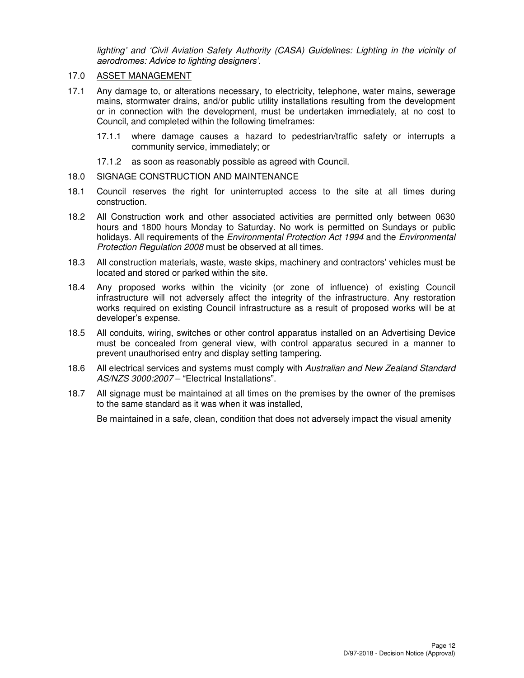lighting' and 'Civil Aviation Safety Authority (CASA) Guidelines: Lighting in the vicinity of aerodromes: Advice to lighting designers'.

## 17.0 ASSET MANAGEMENT

- 17.1 Any damage to, or alterations necessary, to electricity, telephone, water mains, sewerage mains, stormwater drains, and/or public utility installations resulting from the development or in connection with the development, must be undertaken immediately, at no cost to Council, and completed within the following timeframes:
	- 17.1.1 where damage causes a hazard to pedestrian/traffic safety or interrupts a community service, immediately; or
	- 17.1.2 as soon as reasonably possible as agreed with Council.

## 18.0 SIGNAGE CONSTRUCTION AND MAINTENANCE

- 18.1 Council reserves the right for uninterrupted access to the site at all times during construction.
- 18.2 All Construction work and other associated activities are permitted only between 0630 hours and 1800 hours Monday to Saturday. No work is permitted on Sundays or public holidays. All requirements of the Environmental Protection Act 1994 and the Environmental Protection Regulation 2008 must be observed at all times.
- 18.3 All construction materials, waste, waste skips, machinery and contractors' vehicles must be located and stored or parked within the site.
- 18.4 Any proposed works within the vicinity (or zone of influence) of existing Council infrastructure will not adversely affect the integrity of the infrastructure. Any restoration works required on existing Council infrastructure as a result of proposed works will be at developer's expense.
- 18.5 All conduits, wiring, switches or other control apparatus installed on an Advertising Device must be concealed from general view, with control apparatus secured in a manner to prevent unauthorised entry and display setting tampering.
- 18.6 All electrical services and systems must comply with Australian and New Zealand Standard AS/NZS 3000:2007 – "Electrical Installations".
- 18.7 All signage must be maintained at all times on the premises by the owner of the premises to the same standard as it was when it was installed,

Be maintained in a safe, clean, condition that does not adversely impact the visual amenity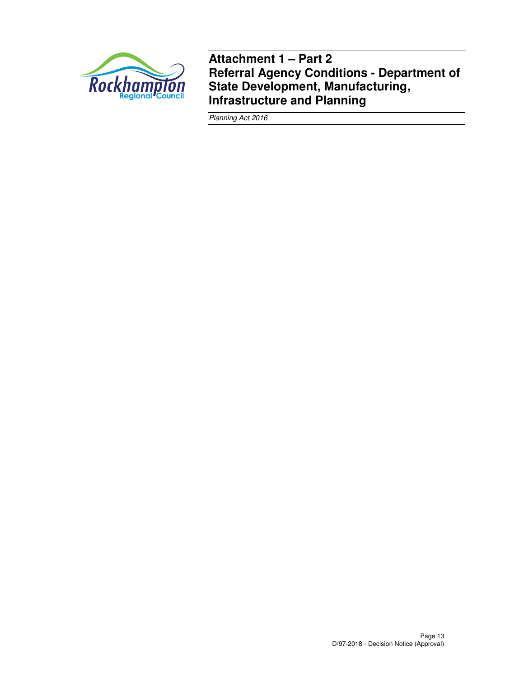

**Attachment 1 – Part 2 Referral Agency Conditions - Department of State Development, Manufacturing, Infrastructure and Planning** 

Planning Act 2016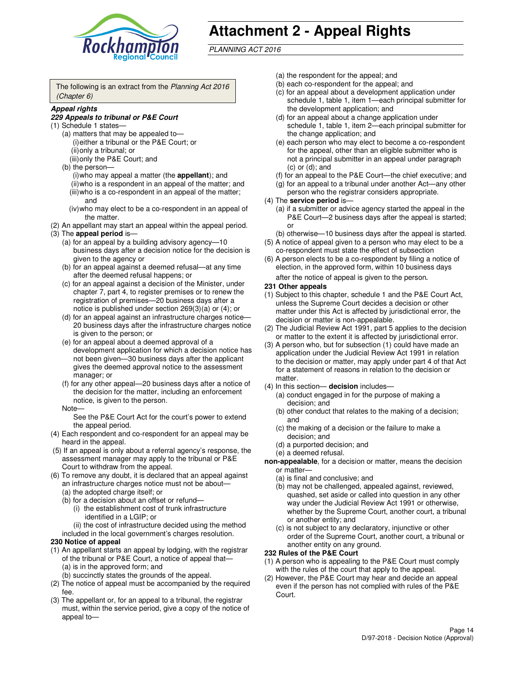

# **Attachment 2 - Appeal Rights**

PLANNING ACT 2016

The following is an extract from the Planning Act 2016 (Chapter 6)

#### **Appeal rights**

#### **229 Appeals to tribunal or P&E Court**

- (1) Schedule 1 states—
	- (a) matters that may be appealed to— (i) either a tribunal or the P&E Court; or (ii) only a tribunal; or (iii) only the P&E Court; and
	- (b) the person—
		- (i) who may appeal a matter (the **appellant**); and
		- (ii) who is a respondent in an appeal of the matter; and (iii) who is a co-respondent in an appeal of the matter; and
		- (iv) who may elect to be a co-respondent in an appeal of the matter.
- (2) An appellant may start an appeal within the appeal period.
- (3) The **appeal period** is—
	- (a) for an appeal by a building advisory agency—10 business days after a decision notice for the decision is given to the agency or
	- (b) for an appeal against a deemed refusal—at any time after the deemed refusal happens; or
	- (c) for an appeal against a decision of the Minister, under chapter 7, part 4, to register premises or to renew the registration of premises—20 business days after a notice is published under section 269(3)(a) or (4); or
	- (d) for an appeal against an infrastructure charges notice— 20 business days after the infrastructure charges notice is given to the person; or
	- (e) for an appeal about a deemed approval of a development application for which a decision notice has not been given—30 business days after the applicant gives the deemed approval notice to the assessment manager; or
	- (f) for any other appeal—20 business days after a notice of the decision for the matter, including an enforcement notice, is given to the person.
	- Note—

See the P&E Court Act for the court's power to extend the appeal period.

- (4) Each respondent and co-respondent for an appeal may be heard in the appeal.
- (5) If an appeal is only about a referral agency's response, the assessment manager may apply to the tribunal or P&E Court to withdraw from the appeal.
- (6) To remove any doubt, it is declared that an appeal against an infrastructure charges notice must not be about—
	- (a) the adopted charge itself; or
	- (b) for a decision about an offset or refund—
		- (i) the establishment cost of trunk infrastructure identified in a LGIP; or
		- (ii) the cost of infrastructure decided using the method
- included in the local government's charges resolution. **230 Notice of appeal**
- (1) An appellant starts an appeal by lodging, with the registrar of the tribunal or P&E Court, a notice of appeal that—
	- (a) is in the approved form; and
	- (b) succinctly states the grounds of the appeal.
- (2) The notice of appeal must be accompanied by the required fee.
- (3) The appellant or, for an appeal to a tribunal, the registrar must, within the service period, give a copy of the notice of appeal to—
- (a) the respondent for the appeal; and
- (b) each co-respondent for the appeal; and
- (c) for an appeal about a development application under schedule 1, table 1, item 1—each principal submitter for the development application; and
- (d) for an appeal about a change application under schedule 1, table 1, item 2—each principal submitter for the change application; and
- (e) each person who may elect to become a co-respondent for the appeal, other than an eligible submitter who is not a principal submitter in an appeal under paragraph  $(c)$  or  $(d)$ ; and
- (f) for an appeal to the P&E Court—the chief executive; and
- (g) for an appeal to a tribunal under another Act—any other person who the registrar considers appropriate.
- (4) The **service period** is—
	- (a) if a submitter or advice agency started the appeal in the P&E Court—2 business days after the appeal is started; or
	- (b) otherwise—10 business days after the appeal is started.
- (5) A notice of appeal given to a person who may elect to be a co-respondent must state the effect of subsection
- (6) A person elects to be a co-respondent by filing a notice of election, in the approved form, within 10 business days after the notice of appeal is given to the person*.*
- **231 Other appeals**
- (1) Subject to this chapter, schedule 1 and the P&E Court Act, unless the Supreme Court decides a decision or other matter under this Act is affected by jurisdictional error, the decision or matter is non-appealable.
- (2) The Judicial Review Act 1991, part 5 applies to the decision or matter to the extent it is affected by jurisdictional error.
- (3) A person who, but for subsection (1) could have made an application under the Judicial Review Act 1991 in relation to the decision or matter, may apply under part 4 of that Act for a statement of reasons in relation to the decision or matter.
- (4) In this section— **decision** includes—
	- (a) conduct engaged in for the purpose of making a decision; and
	- (b) other conduct that relates to the making of a decision; and
	- (c) the making of a decision or the failure to make a decision; and
	- (d) a purported decision; and
	- (e) a deemed refusal.

**non-appealable**, for a decision or matter, means the decision or matter—

- (a) is final and conclusive; and
- (b) may not be challenged, appealed against, reviewed, quashed, set aside or called into question in any other way under the Judicial Review Act 1991 or otherwise, whether by the Supreme Court, another court, a tribunal or another entity; and
- (c) is not subject to any declaratory, injunctive or other order of the Supreme Court, another court, a tribunal or another entity on any ground.

#### **232 Rules of the P&E Court**

- (1) A person who is appealing to the P&E Court must comply with the rules of the court that apply to the appeal.
- (2) However, the P&E Court may hear and decide an appeal even if the person has not complied with rules of the P&E Court.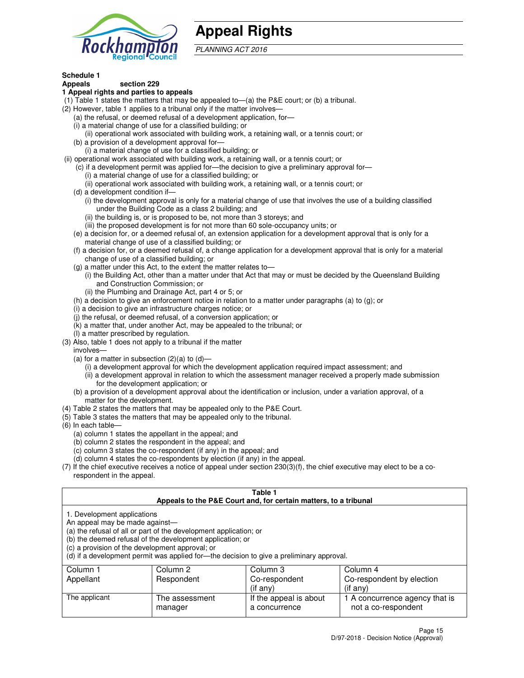

## **Appeal Rights**

PLANNING ACT 2016

## **Schedule 1**

## **Appeals section 229**

#### **1 Appeal rights and parties to appeals**

- (1) Table 1 states the matters that may be appealed to—(a) the P&E court; or (b) a tribunal.
- (2) However, table 1 applies to a tribunal only if the matter involves—
	- (a) the refusal, or deemed refusal of a development application, for—
	- (i) a material change of use for a classified building; or
	- (ii) operational work associated with building work, a retaining wall, or a tennis court; or
	- (b) a provision of a development approval for—
	- (i) a material change of use for a classified building; or
- (ii) operational work associated with building work, a retaining wall, or a tennis court; or
	- (c) if a development permit was applied for—the decision to give a preliminary approval for—
		- (i) a material change of use for a classified building; or
		- (ii) operational work associated with building work, a retaining wall, or a tennis court; or
	- (d) a development condition if—
		- (i) the development approval is only for a material change of use that involves the use of a building classified under the Building Code as a class 2 building; and
		- (ii) the building is, or is proposed to be, not more than 3 storeys; and
		- (iii) the proposed development is for not more than 60 sole-occupancy units; or
	- (e) a decision for, or a deemed refusal of, an extension application for a development approval that is only for a material change of use of a classified building; or
	- (f) a decision for, or a deemed refusal of, a change application for a development approval that is only for a material change of use of a classified building; or
	- (g) a matter under this Act, to the extent the matter relates to—
		- (i) the Building Act, other than a matter under that Act that may or must be decided by the Queensland Building and Construction Commission; or
		- (ii) the Plumbing and Drainage Act, part 4 or 5; or
	- (h) a decision to give an enforcement notice in relation to a matter under paragraphs (a) to (g); or
	- (i) a decision to give an infrastructure charges notice; or
	- (j) the refusal, or deemed refusal, of a conversion application; or
	- (k) a matter that, under another Act, may be appealed to the tribunal; or
	- (l) a matter prescribed by regulation.
- (3) Also, table 1 does not apply to a tribunal if the matter
	- involves—
	- (a) for a matter in subsection  $(2)(a)$  to  $(d)$ 
		- (i) a development approval for which the development application required impact assessment; and
		- (ii) a development approval in relation to which the assessment manager received a properly made submission for the development application; or
	- (b) a provision of a development approval about the identification or inclusion, under a variation approval, of a matter for the development.
- (4) Table 2 states the matters that may be appealed only to the P&E Court.
- (5) Table 3 states the matters that may be appealed only to the tribunal.
- (6) In each table—
	- (a) column 1 states the appellant in the appeal; and
	- (b) column 2 states the respondent in the appeal; and
	- (c) column 3 states the co-respondent (if any) in the appeal; and
	- (d) column 4 states the co-respondents by election (if any) in the appeal.
- $(7)$  If the chief executive receives a notice of appeal under section  $230(3)(f)$ , the chief executive may elect to be a corespondent in the appeal.

| Table 1<br>Appeals to the P&E Court and, for certain matters, to a tribunal                                           |                                                                                                                                                                                                                            |                                         |                                                       |  |
|-----------------------------------------------------------------------------------------------------------------------|----------------------------------------------------------------------------------------------------------------------------------------------------------------------------------------------------------------------------|-----------------------------------------|-------------------------------------------------------|--|
| 1. Development applications<br>An appeal may be made against-<br>(c) a provision of the development approval; or      | (a) the refusal of all or part of the development application; or<br>(b) the deemed refusal of the development application; or<br>(d) if a development permit was applied for—the decision to give a preliminary approval. |                                         |                                                       |  |
| Column 3<br>Column 1<br>Column 2<br>Column 4<br>Co-respondent by election<br>Appellant<br>Respondent<br>Co-respondent |                                                                                                                                                                                                                            |                                         |                                                       |  |
| (if any)<br>$($ if any $)$                                                                                            |                                                                                                                                                                                                                            |                                         |                                                       |  |
| The applicant                                                                                                         | The assessment<br>manager                                                                                                                                                                                                  | If the appeal is about<br>a concurrence | 1 A concurrence agency that is<br>not a co-respondent |  |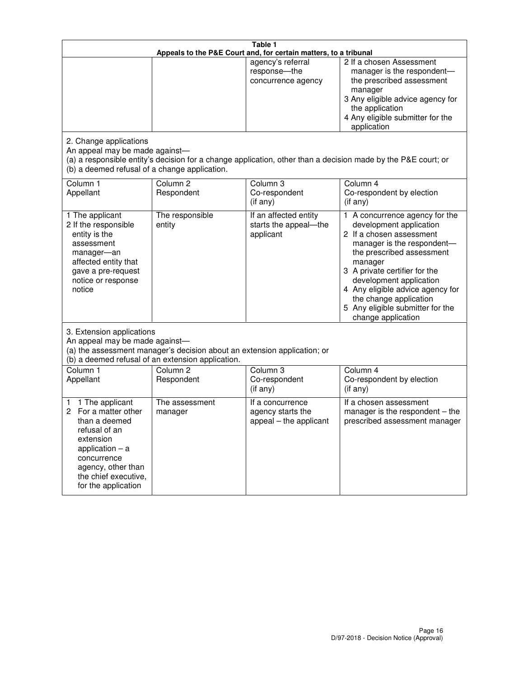| Table 1<br>Appeals to the P&E Court and, for certain matters, to a tribunal                                                                                                                             |                                                                                                                               |                                                                 |                                                                                                                                                                                                                                                                                                                                                 |
|---------------------------------------------------------------------------------------------------------------------------------------------------------------------------------------------------------|-------------------------------------------------------------------------------------------------------------------------------|-----------------------------------------------------------------|-------------------------------------------------------------------------------------------------------------------------------------------------------------------------------------------------------------------------------------------------------------------------------------------------------------------------------------------------|
| 2. Change applications                                                                                                                                                                                  |                                                                                                                               | agency's referral<br>response-the<br>concurrence agency         | 2 If a chosen Assessment<br>manager is the respondent-<br>the prescribed assessment<br>manager<br>3 Any eligible advice agency for<br>the application<br>4 Any eligible submitter for the<br>application                                                                                                                                        |
| An appeal may be made against-<br>(b) a deemed refusal of a change application.                                                                                                                         |                                                                                                                               |                                                                 | (a) a responsible entity's decision for a change application, other than a decision made by the P&E court; or                                                                                                                                                                                                                                   |
| Column 1<br>Appellant                                                                                                                                                                                   | Column <sub>2</sub><br>Respondent                                                                                             | Column <sub>3</sub><br>Co-respondent<br>(if any)                | Column 4<br>Co-respondent by election<br>(if any)                                                                                                                                                                                                                                                                                               |
| 1 The applicant<br>2 If the responsible<br>entity is the<br>assessment<br>manager-an<br>affected entity that<br>gave a pre-request<br>notice or response<br>notice                                      | The responsible<br>entity                                                                                                     | If an affected entity<br>starts the appeal-the<br>applicant     | 1 A concurrence agency for the<br>development application<br>2 If a chosen assessment<br>manager is the respondent-<br>the prescribed assessment<br>manager<br>3 A private certifier for the<br>development application<br>4 Any eligible advice agency for<br>the change application<br>5 Any eligible submitter for the<br>change application |
| 3. Extension applications<br>An appeal may be made against-                                                                                                                                             | (a) the assessment manager's decision about an extension application; or<br>(b) a deemed refusal of an extension application. |                                                                 |                                                                                                                                                                                                                                                                                                                                                 |
| Column 1<br>Appellant                                                                                                                                                                                   | Column <sub>2</sub><br>Respondent                                                                                             | Column <sub>3</sub><br>Co-respondent<br>(if any)                | Column 4<br>Co-respondent by election<br>(if any)                                                                                                                                                                                                                                                                                               |
| 1 The applicant<br>1<br>For a matter other<br>2<br>than a deemed<br>refusal of an<br>extension<br>application $-$ a<br>concurrence<br>agency, other than<br>the chief executive,<br>for the application | The assessment<br>manager                                                                                                     | If a concurrence<br>agency starts the<br>appeal - the applicant | If a chosen assessment<br>manager is the respondent $-$ the<br>prescribed assessment manager                                                                                                                                                                                                                                                    |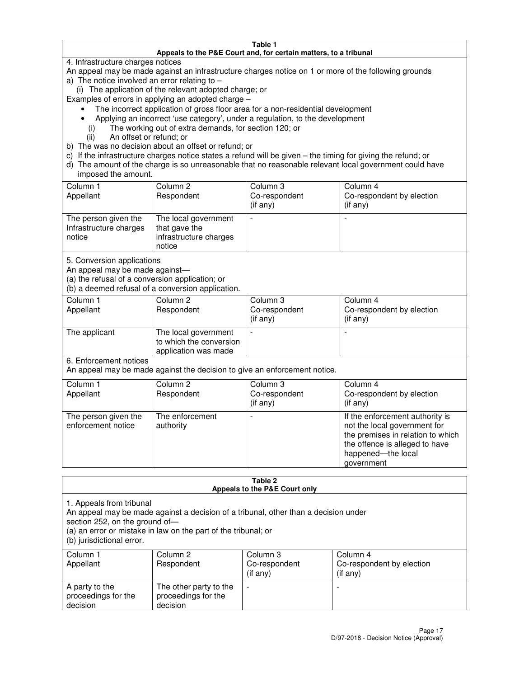#### **Table 1 Appeals to the P&E Court and, for certain matters, to a tribunal**

4. Infrastructure charges notices

An appeal may be made against an infrastructure charges notice on 1 or more of the following grounds

- a) The notice involved an error relating to
	- (i) The application of the relevant adopted charge; or
- Examples of errors in applying an adopted charge
	- The incorrect application of gross floor area for a non-residential development
	- Applying an incorrect 'use category', under a regulation, to the development
		- (i) The working out of extra demands, for section 120; or
		- (ii) An offset or refund; or
- b) The was no decision about an offset or refund; or
- c) If the infrastructure charges notice states a refund will be given the timing for giving the refund; or
- d) The amount of the charge is so unreasonable that no reasonable relevant local government could have imposed the amount.

| Column 1<br>Appellant                                    | Column 2<br>Respondent                                                    | Column 3<br>Co-respondent<br>$($ if any $)$ | Column 4<br>Co-respondent by election<br>$($ if any $)$ |
|----------------------------------------------------------|---------------------------------------------------------------------------|---------------------------------------------|---------------------------------------------------------|
| The person given the<br>Infrastructure charges<br>notice | The local government<br>that gave the<br>infrastructure charges<br>notice |                                             |                                                         |

5. Conversion applications

An appeal may be made against—

(a) the refusal of a conversion application; or

(b) a deemed refusal of a conversion application.

| Column 1<br>Appellant | Column 2<br>Respondent                                                  | Column 3<br>Co-respondent<br>$($ if any $)$ | Column 4<br>Co-respondent by election<br>$($ if any $)$ |
|-----------------------|-------------------------------------------------------------------------|---------------------------------------------|---------------------------------------------------------|
| The applicant         | The local government<br>to which the conversion<br>application was made |                                             |                                                         |

6. Enforcement notices

An appeal may be made against the decision to give an enforcement notice.

| Column 1<br>Appellant                      | Column 2<br>Respondent       | Column 3<br>Co-respondent<br>$($ if any $)$ | Column 4<br>Co-respondent by election<br>(if any)                                                                                                                          |
|--------------------------------------------|------------------------------|---------------------------------------------|----------------------------------------------------------------------------------------------------------------------------------------------------------------------------|
| The person given the<br>enforcement notice | The enforcement<br>authority |                                             | If the enforcement authority is<br>not the local government for<br>the premises in relation to which<br>the offence is alleged to have<br>happened-the local<br>government |

#### **Table 2 Appeals to the P&E Court only**

1. Appeals from tribunal

An appeal may be made against a decision of a tribunal, other than a decision under

section 252, on the ground of—

(a) an error or mistake in law on the part of the tribunal; or

(b) jurisdictional error.

| Column 1<br>Appellant                             | Column 2<br>Respondent                                    | Column 3<br>Co-respondent<br>(if any) | Column 4<br>Co-respondent by election<br>(if any) |
|---------------------------------------------------|-----------------------------------------------------------|---------------------------------------|---------------------------------------------------|
| A party to the<br>proceedings for the<br>decision | The other party to the<br>proceedings for the<br>decision | $\overline{\phantom{a}}$              |                                                   |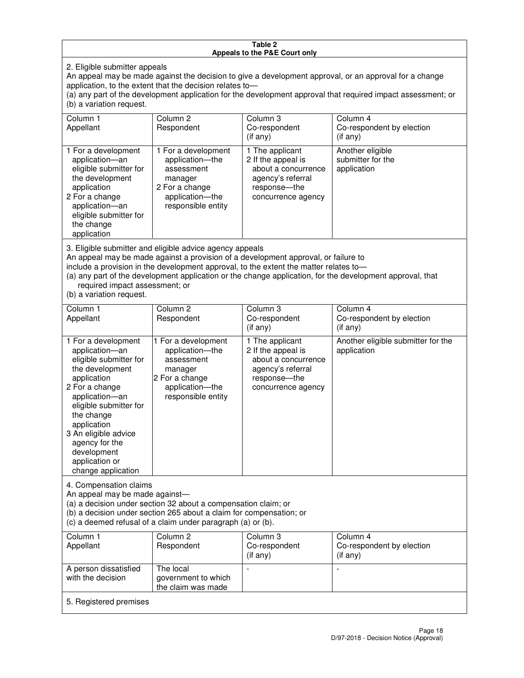#### **Table 2 Appeals to the P&E Court only**

2. Eligible submitter appeals

An appeal may be made against the decision to give a development approval, or an approval for a change application, to the extent that the decision relates to—

(a) any part of the development application for the development approval that required impact assessment; or (b) a variation request.

| Column 1<br>Appellant                                                                                                                                                                                                                                                                                                                                                                                              | Column <sub>2</sub><br>Respondent                                                                                          | Column 3<br>Co-respondent<br>(if any)                                                                                     | Column 4<br>Co-respondent by election<br>(i f any)   |
|--------------------------------------------------------------------------------------------------------------------------------------------------------------------------------------------------------------------------------------------------------------------------------------------------------------------------------------------------------------------------------------------------------------------|----------------------------------------------------------------------------------------------------------------------------|---------------------------------------------------------------------------------------------------------------------------|------------------------------------------------------|
| 1 For a development<br>application-an<br>eligible submitter for<br>the development<br>application<br>2 For a change<br>application-an<br>eligible submitter for<br>the change<br>application                                                                                                                                                                                                                       | 1 For a development<br>application-the<br>assessment<br>manager<br>2 For a change<br>application-the<br>responsible entity | 1 The applicant<br>2 If the appeal is<br>about a concurrence<br>agency's referral<br>response---the<br>concurrence agency | Another eligible<br>submitter for the<br>application |
| 3. Eligible submitter and eligible advice agency appeals<br>An appeal may be made against a provision of a development approval, or failure to<br>include a provision in the development approval, to the extent the matter relates to-<br>(a) any part of the development application or the change application, for the development approval, that<br>required impact assessment; or<br>(b) a variation request. |                                                                                                                            |                                                                                                                           |                                                      |
| Column 1<br>Appellant                                                                                                                                                                                                                                                                                                                                                                                              | Column <sub>2</sub><br>Respondent                                                                                          | Column 3<br>Co-respondent<br>(if any)                                                                                     | Column 4<br>Co-respondent by election<br>(i f any)   |
| 1 For a development<br>application-an<br>eligible submitter for<br>the development                                                                                                                                                                                                                                                                                                                                 | 1 For a development<br>application-the<br>assessment<br>manager                                                            | 1 The applicant<br>2 If the appeal is<br>about a concurrence<br>agency's referral                                         | Another eligible submitter for the<br>application    |

response—the concurrence agency

change application 4. Compensation claims

application 2 For a change application—an eligible submitter for

the change application 3 An eligible advice agency for the development application or

An appeal may be made against—

(a) a decision under section 32 about a compensation claim; or

2 For a change application—the responsible entity

(b) a decision under section 265 about a claim for compensation; or

(c) a deemed refusal of a claim under paragraph (a) or (b).

| Column 1<br>Appellant                      | Column 2<br>Respondent                                 | Column 3<br>Co-respondent<br>$($ if any $)$ | Column 4<br>Co-respondent by election<br>(if any) |
|--------------------------------------------|--------------------------------------------------------|---------------------------------------------|---------------------------------------------------|
| A person dissatisfied<br>with the decision | The local<br>government to which<br>the claim was made |                                             |                                                   |
| 5. Registered premises                     |                                                        |                                             |                                                   |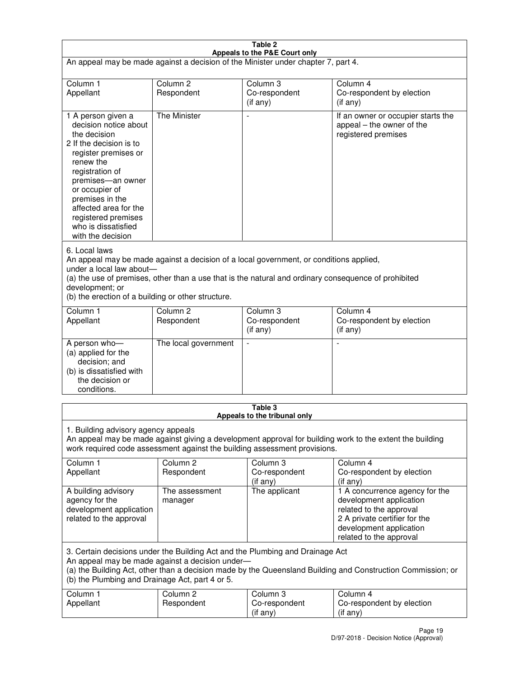| Table 2<br>Appeals to the P&E Court only                                                                                                                                                                                                                                                                                |                                   |                                       |                                                                                                                                                                             |
|-------------------------------------------------------------------------------------------------------------------------------------------------------------------------------------------------------------------------------------------------------------------------------------------------------------------------|-----------------------------------|---------------------------------------|-----------------------------------------------------------------------------------------------------------------------------------------------------------------------------|
| An appeal may be made against a decision of the Minister under chapter 7, part 4.                                                                                                                                                                                                                                       |                                   |                                       |                                                                                                                                                                             |
|                                                                                                                                                                                                                                                                                                                         |                                   |                                       |                                                                                                                                                                             |
| Column 1<br>Appellant                                                                                                                                                                                                                                                                                                   | Column <sub>2</sub><br>Respondent | Column <sub>3</sub><br>Co-respondent  | Column <sub>4</sub><br>Co-respondent by election                                                                                                                            |
|                                                                                                                                                                                                                                                                                                                         |                                   | (if any)                              | (if any)                                                                                                                                                                    |
| 1 A person given a<br>decision notice about<br>the decision<br>2 If the decision is to<br>register premises or<br>renew the<br>registration of<br>premises-an owner<br>or occupier of<br>premises in the<br>affected area for the<br>registered premises<br>who is dissatisfied<br>with the decision                    | <b>The Minister</b>               |                                       | If an owner or occupier starts the<br>appeal – the owner of the<br>registered premises                                                                                      |
| 6. Local laws<br>An appeal may be made against a decision of a local government, or conditions applied,<br>under a local law about-<br>(a) the use of premises, other than a use that is the natural and ordinary consequence of prohibited<br>development; or<br>(b) the erection of a building or other structure.    |                                   |                                       |                                                                                                                                                                             |
| Column 1                                                                                                                                                                                                                                                                                                                | Column <sub>2</sub>               | Column 3                              | Column $\overline{4}$                                                                                                                                                       |
| Appellant                                                                                                                                                                                                                                                                                                               | Respondent                        | Co-respondent<br>(if any)             | Co-respondent by election<br>(if any)                                                                                                                                       |
| A person who-<br>(a) applied for the<br>decision; and<br>(b) is dissatisfied with<br>the decision or<br>conditions.                                                                                                                                                                                                     | The local government              |                                       |                                                                                                                                                                             |
|                                                                                                                                                                                                                                                                                                                         |                                   | Table 3                               |                                                                                                                                                                             |
| Appeals to the tribunal only<br>1. Building advisory agency appeals<br>An appeal may be made against giving a development approval for building work to the extent the building<br>work required code assessment against the building assessment provisions.<br>Column 1<br>Column <sub>2</sub><br>Column 3<br>Column 4 |                                   |                                       |                                                                                                                                                                             |
| Appellant                                                                                                                                                                                                                                                                                                               | Respondent                        | Co-respondent<br>(if any)             | Co-respondent by election<br>(if any)                                                                                                                                       |
| A building advisory<br>agency for the<br>development application<br>related to the approval                                                                                                                                                                                                                             | The assessment<br>manager         | The applicant                         | 1 A concurrence agency for the<br>development application<br>related to the approval<br>2 A private certifier for the<br>development application<br>related to the approval |
| 3. Certain decisions under the Building Act and the Plumbing and Drainage Act<br>An appeal may be made against a decision under-<br>(a) the Building Act, other than a decision made by the Queensland Building and Construction Commission; or<br>(b) the Plumbing and Drainage Act, part 4 or 5.                      |                                   |                                       |                                                                                                                                                                             |
| Column 1<br>Appellant                                                                                                                                                                                                                                                                                                   | Column <sub>2</sub><br>Respondent | Column 3<br>Co-respondent<br>(if any) | Column 4<br>Co-respondent by election<br>(if any)                                                                                                                           |